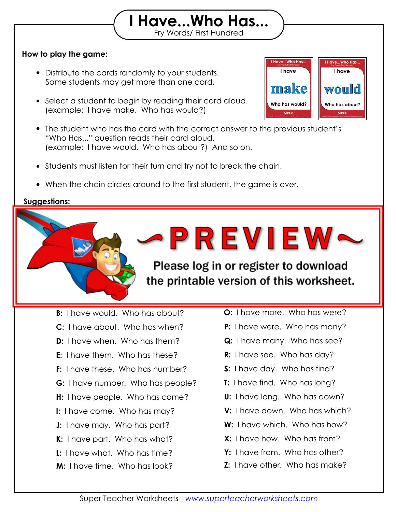## **How to play the game:**

- Distribute the cards randomly to your students. Some students may get more than one card.
- Select a student to begin by reading their card aloud. (example: I have make. Who has would?)
- The student who has the card with the correct answer to the previous student's "Who Has..." question reads their card aloud. (example: I have would. Who has about?) And so on.

Print out the "I Have, Who Has" flashcards on card stock and laminate them so they will

- Students must listen for their turn and try not to break the chain.
- When the chain circles around to the first student, the game is over.

then see if they can "beat the timer." Set a timer for 2 minutes, 5 minutes,

Challenge the game before the time the grate

## **Suggestions:**

**Answer Chain:**

last for many years to come.

or any amount of the street of the street of the street of the street of the street of the street of the street

**D:** I have when. Who has them?

**E:** I have them. Who has these?

**F:** I have these. Who has number?

**H:** I have people. Who has come?

**G:** I have number. Who has people?

**J:** I have may. Who has part?

**I:** I have come. Who has may?

**L:** I have what. Who has time?

**K:** I have part. Who has what?

**M:** I have time. Who has look?

the printable version of this worksheet. **A:** I have make. Who has would? **N:** I have look. Who has more? **O:** I have more. Who has were? **B:** I have would. Who has about? **C:** I have about. Who has when?

-PREVIEW~

- **P:** I have were. Who has many?
- **Q:** I have many. Who has see?
- **R:** I have see. Who has day?
- **S:** I have day. Who has find?
- **T:** I have find. Who has long?
- **U:** I have long. Who has down?
- **V:** I have down. Who has which?
- **W:** I have which. Who has how?
- **X:** I have how. Who has from?
- **Y:** I have from. Who has other?
- **Z:** I have other. Who has make?







Fry Words/ First Hundred **I Have...Who Has...**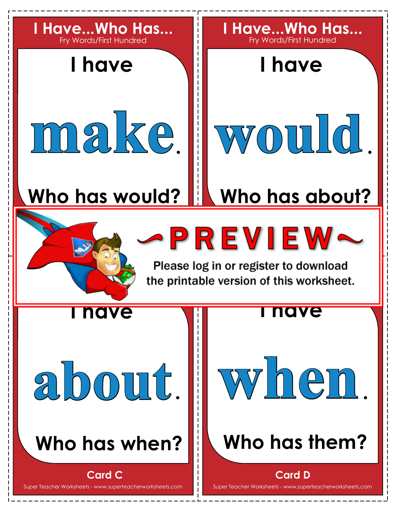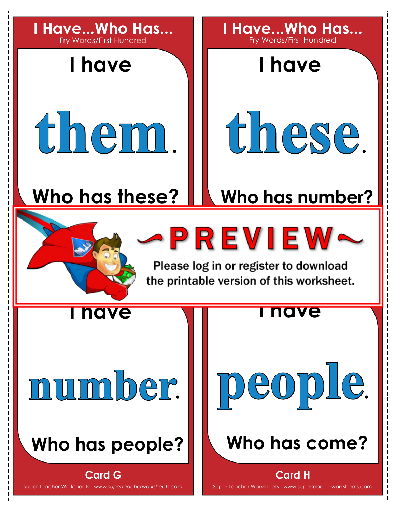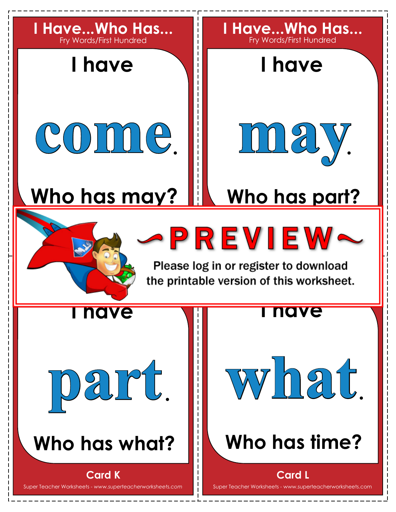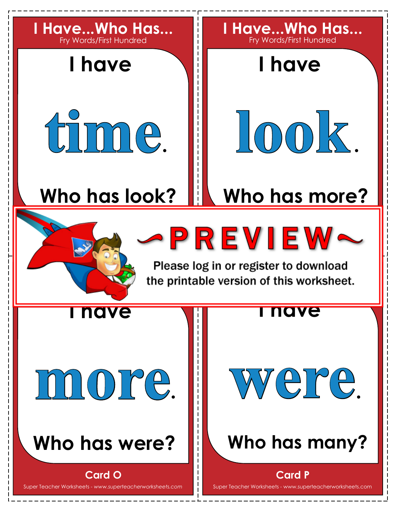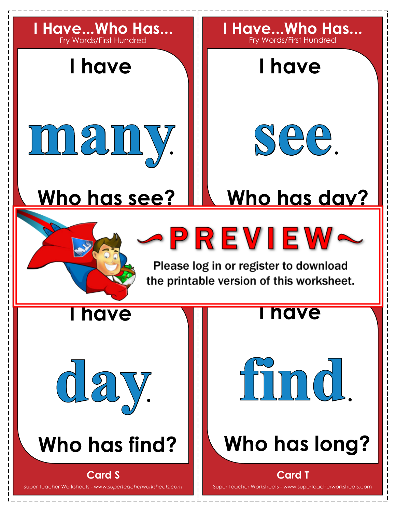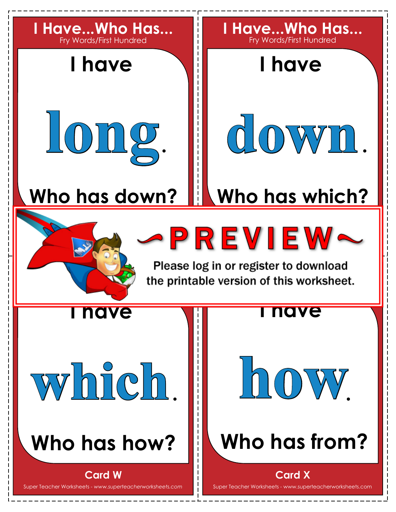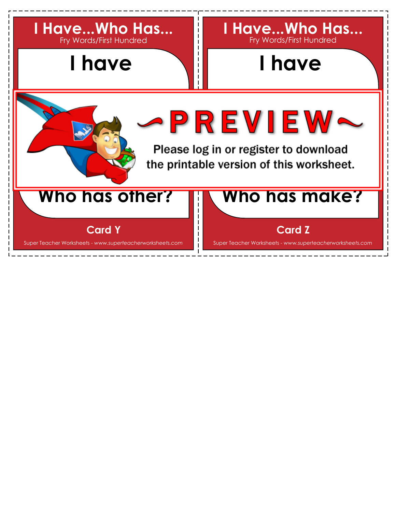